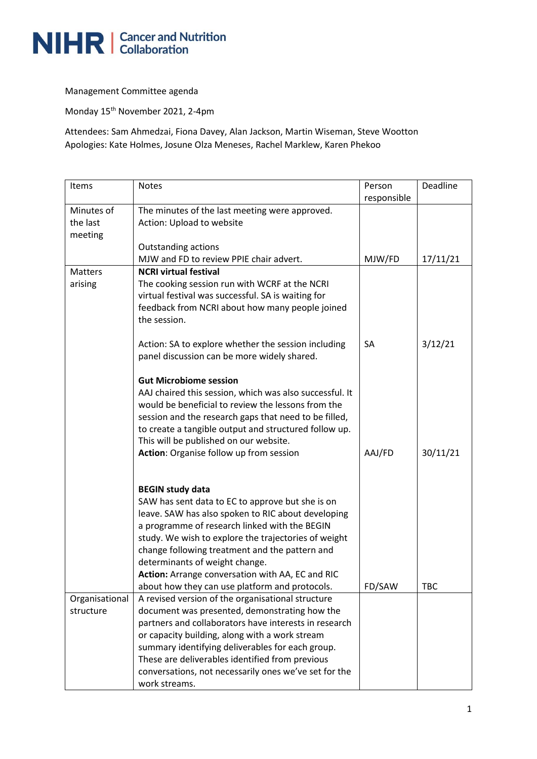

Management Committee agenda

Monday 15th November 2021, 2-4pm

Attendees: Sam Ahmedzai, Fiona Davey, Alan Jackson, Martin Wiseman, Steve Wootton Apologies: Kate Holmes, Josune Olza Meneses, Rachel Marklew, Karen Phekoo

| Items                             | <b>Notes</b>                                                                                                                                                                                                                                                                                                                                                                                                                         | Person<br>responsible | Deadline   |
|-----------------------------------|--------------------------------------------------------------------------------------------------------------------------------------------------------------------------------------------------------------------------------------------------------------------------------------------------------------------------------------------------------------------------------------------------------------------------------------|-----------------------|------------|
| Minutes of<br>the last<br>meeting | The minutes of the last meeting were approved.<br>Action: Upload to website                                                                                                                                                                                                                                                                                                                                                          |                       |            |
|                                   | <b>Outstanding actions</b><br>MJW and FD to review PPIE chair advert.                                                                                                                                                                                                                                                                                                                                                                | MJW/FD                | 17/11/21   |
| <b>Matters</b>                    | <b>NCRI virtual festival</b>                                                                                                                                                                                                                                                                                                                                                                                                         |                       |            |
| arising                           | The cooking session run with WCRF at the NCRI<br>virtual festival was successful. SA is waiting for<br>feedback from NCRI about how many people joined<br>the session.                                                                                                                                                                                                                                                               |                       |            |
|                                   | Action: SA to explore whether the session including<br>panel discussion can be more widely shared.                                                                                                                                                                                                                                                                                                                                   | <b>SA</b>             | 3/12/21    |
|                                   | <b>Gut Microbiome session</b><br>AAJ chaired this session, which was also successful. It<br>would be beneficial to review the lessons from the<br>session and the research gaps that need to be filled,<br>to create a tangible output and structured follow up.<br>This will be published on our website.                                                                                                                           |                       |            |
|                                   | Action: Organise follow up from session                                                                                                                                                                                                                                                                                                                                                                                              | AAJ/FD                | 30/11/21   |
|                                   | <b>BEGIN study data</b><br>SAW has sent data to EC to approve but she is on<br>leave. SAW has also spoken to RIC about developing<br>a programme of research linked with the BEGIN<br>study. We wish to explore the trajectories of weight<br>change following treatment and the pattern and<br>determinants of weight change.<br>Action: Arrange conversation with AA, EC and RIC<br>about how they can use platform and protocols. | FD/SAW                | <b>TBC</b> |
| Organisational                    | A revised version of the organisational structure                                                                                                                                                                                                                                                                                                                                                                                    |                       |            |
| structure                         | document was presented, demonstrating how the                                                                                                                                                                                                                                                                                                                                                                                        |                       |            |
|                                   | partners and collaborators have interests in research                                                                                                                                                                                                                                                                                                                                                                                |                       |            |
|                                   | or capacity building, along with a work stream<br>summary identifying deliverables for each group.                                                                                                                                                                                                                                                                                                                                   |                       |            |
|                                   | These are deliverables identified from previous                                                                                                                                                                                                                                                                                                                                                                                      |                       |            |
|                                   | conversations, not necessarily ones we've set for the<br>work streams.                                                                                                                                                                                                                                                                                                                                                               |                       |            |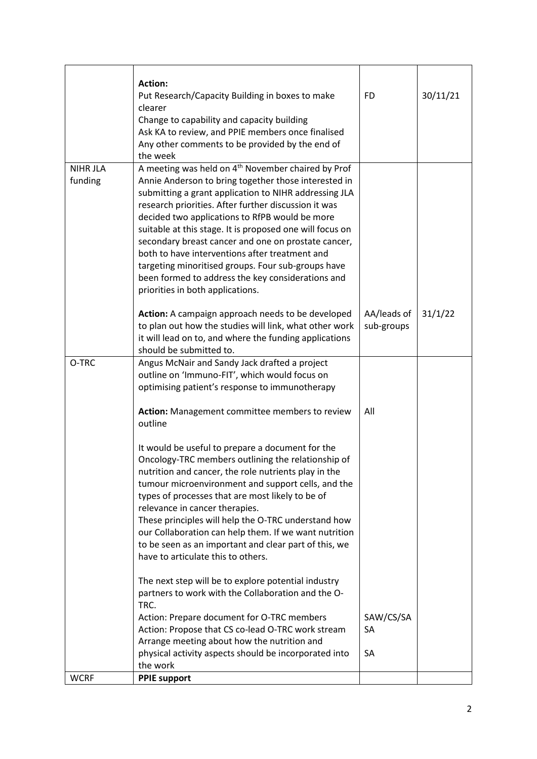|                            | <b>Action:</b><br>Put Research/Capacity Building in boxes to make<br>clearer<br>Change to capability and capacity building<br>Ask KA to review, and PPIE members once finalised<br>Any other comments to be provided by the end of<br>the week                                                                                                                                                                                                                                                                                                                                                                | <b>FD</b>                 | 30/11/21 |
|----------------------------|---------------------------------------------------------------------------------------------------------------------------------------------------------------------------------------------------------------------------------------------------------------------------------------------------------------------------------------------------------------------------------------------------------------------------------------------------------------------------------------------------------------------------------------------------------------------------------------------------------------|---------------------------|----------|
| <b>NIHR JLA</b><br>funding | A meeting was held on 4 <sup>th</sup> November chaired by Prof<br>Annie Anderson to bring together those interested in<br>submitting a grant application to NIHR addressing JLA<br>research priorities. After further discussion it was<br>decided two applications to RfPB would be more<br>suitable at this stage. It is proposed one will focus on<br>secondary breast cancer and one on prostate cancer,<br>both to have interventions after treatment and<br>targeting minoritised groups. Four sub-groups have<br>been formed to address the key considerations and<br>priorities in both applications. |                           |          |
|                            | Action: A campaign approach needs to be developed<br>to plan out how the studies will link, what other work<br>it will lead on to, and where the funding applications<br>should be submitted to.                                                                                                                                                                                                                                                                                                                                                                                                              | AA/leads of<br>sub-groups | 31/1/22  |
| O-TRC                      | Angus McNair and Sandy Jack drafted a project<br>outline on 'Immuno-FIT', which would focus on<br>optimising patient's response to immunotherapy                                                                                                                                                                                                                                                                                                                                                                                                                                                              |                           |          |
|                            | Action: Management committee members to review<br>outline                                                                                                                                                                                                                                                                                                                                                                                                                                                                                                                                                     | All                       |          |
|                            | It would be useful to prepare a document for the<br>Oncology-TRC members outlining the relationship of<br>nutrition and cancer, the role nutrients play in the<br>tumour microenvironment and support cells, and the<br>types of processes that are most likely to be of<br>relevance in cancer therapies.<br>These principles will help the O-TRC understand how<br>our Collaboration can help them. If we want nutrition<br>to be seen as an important and clear part of this, we<br>have to articulate this to others.                                                                                     |                           |          |
|                            | The next step will be to explore potential industry<br>partners to work with the Collaboration and the O-<br>TRC.                                                                                                                                                                                                                                                                                                                                                                                                                                                                                             |                           |          |
|                            | Action: Prepare document for O-TRC members<br>Action: Propose that CS co-lead O-TRC work stream<br>Arrange meeting about how the nutrition and                                                                                                                                                                                                                                                                                                                                                                                                                                                                | SAW/CS/SA<br><b>SA</b>    |          |
|                            | physical activity aspects should be incorporated into<br>the work                                                                                                                                                                                                                                                                                                                                                                                                                                                                                                                                             | SA                        |          |
| <b>WCRF</b>                | <b>PPIE support</b>                                                                                                                                                                                                                                                                                                                                                                                                                                                                                                                                                                                           |                           |          |